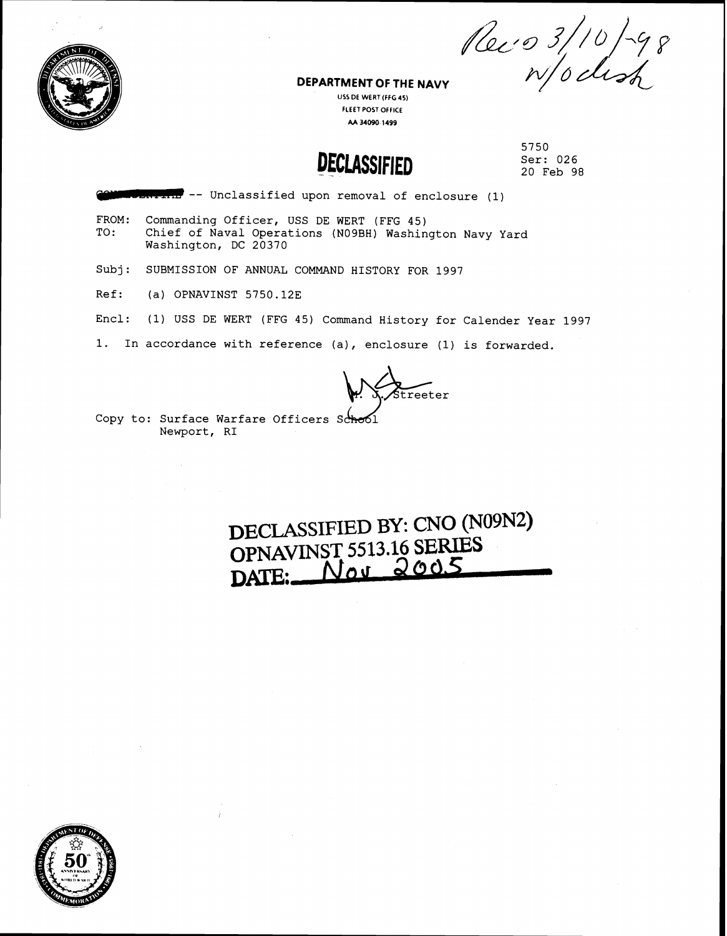**DEPARTMENT OF THE NAVY**  $\begin{array}{c} \n\sqrt{2} \ell' \n\end{array}$   $\begin{array}{c} 3/10 \ \text{P} \ell' \n\end{array}$ 



**FLEET POST OFFICE AA 34090 1499** 

**DECLASSIFIED** 

5750 Ser: 026 20 Feb 98

*~~lr!m* -- Unclassified upon removal of enclosure (1)

- FROM: Commanding Officer, USS DE WERT (FFG 45)<br>TO: Chief of Naval Operations (NO9BH) Washin Chief of Naval Operations (N09BH) Washington Navy Yard Washington, DC 20370
- Subj: SUBMISSION OF ANNUAL COMMAND HISTORY FOR 1997
- Ref: (a) OPNAVINST 5750.12E
- Encl: (1) USS DE WERT (FFG 45) Command History for Calender Year 1997
- 1. In accordance with reference (a), enclosure (1) is forwarded.

treeter

Copy to: Surface Warfare Officers School Newport, RI

**DECLASSIFIED BY: CNO (N09N2) OPNAVINST 5513.16 SERIES DATE:\_\_\_** 

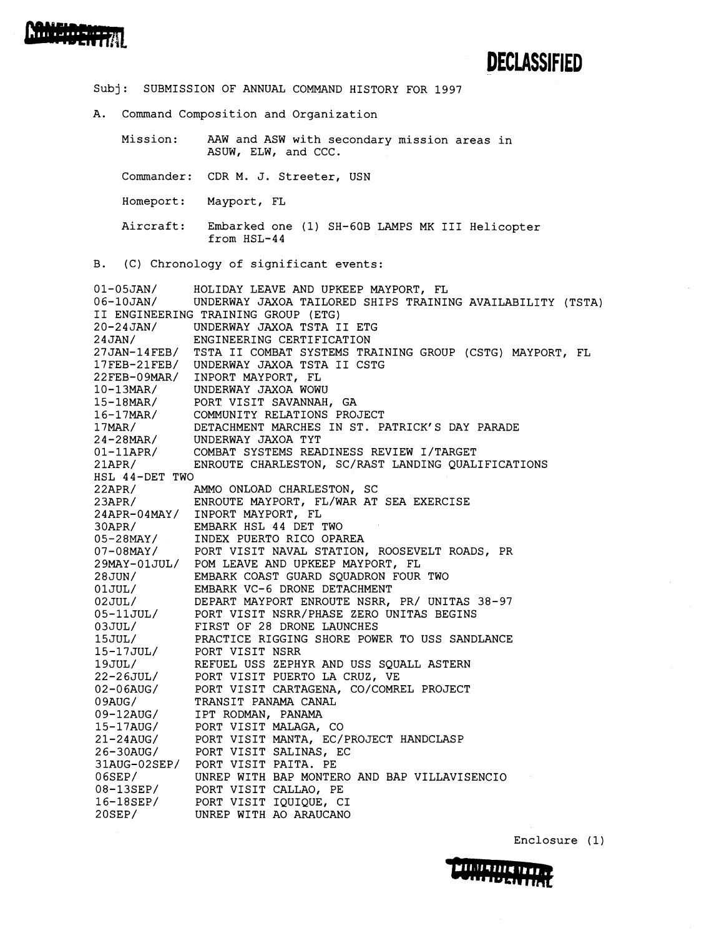

Subj: SUBMISSION OF ANNUAL COMMAND HISTORY FOR 1997 A. Command Composition and Organization Mission: AAW and ASW with secondary mission areas in ASUW, ELW, and CCC. Commander: CDR M. J. Streeter, USN Homeport: Mayport, FL Aircraft: Embarked one (1) SH-GOB LAMPS MK I11 Helicopter from HSL-44 B. (C) Chronology of significant events: 01-05JAN/ HOLIDAY LEAVE AND UPKEEP MAYPORT, FL<br>06-10JAN/ UNDERWAY JAXOA TAILORED SHIPS TRAINI UNDERWAY JAXOA TAILORED SHIPS TRAINING AVAILABILITY (TSTA) I1 ENGINEERING TRAINING GROUP (ETG) 20-24 JAN/ UNDERWAY JAXOA TSTA I1 ETG 24 JAN/ ENGINEERING CERTIFICATION 27JAN-14FEB/ TSTA I1 COMBAT SYSTEMS TRAINING GROUP (CSTG) MAYPORT, FL 17FEB-21FEB/ UNDERWAY JAXOA TSTA I1 CSTG 22FEB-09MAR/ INPORT MAYPORT, FL 10-13MAR/ UNDERWAY JAXOA WOWU 15-18MAR/ PORT VISIT SAVANNAH, GA<br>16-17MAR/ COMMUNITY RELATIONS PRO 16-17MAR/ COMMUNITY RELATIONS PROJECT<br>17MAR/ DETACHMENT MARCHES IN ST. P. DETACHMENT MARCHES IN ST. PATRICK'S DAY PARADE 24-28MAR/ UNDERWAY JAXOA TYT 01-11APR/ COMBAT SYSTEMS READINESS REVIEW I/TARGET 21APR/ ENROUTE CHARLESTON, SC/RAST LANDING QUALIFICATIONS HSL 44-DET TWO 22APR/ AMMO ONLOAD CHARLESTON, SC 2 3APR/ ENROUTE MAYPORT, FL/WAR AT SEA EXERCISE 24APR-04MAY/ INPORT MAYPORT, FL 30APR/ EMBARK HSL 44 DET TWO 05-28MAY/ INDEX PUERTO RICO OPAREA 07-08MAY/ PORT VISIT NAVAL STATION, ROOSEVELT ROADS, PR 29MAY-OlJUL/ POM LEAVE AND UPKEEP MAYPORT, FL 28JUN/ EMBARK COAST GUARD SQUADRON FOUR TWO OlJUL/ EMBARK VC-6 DRONE DETACHMENT 02 JUL/ DEPART MAYPORT ENROUTE NSRR, PR/ UNITAS 38-97 05-11 JUL/ PORT VISIT NSRR/PHASE ZERO UNITAS BEGINS 03JUL/ FIRST OF 28 DRONE LAUNCHES 15JUL/ PRACTICE RIGGING SHORE POWER TO USS SANDLANCE 15-17JUL/ PORT VISIT NSRR 19JULI REFUEL USS ZEPHYR AND USS SQUALL ASTERN 22-26JUL/ PORT VISIT PUERTO LA CRUZ, VE 02-06AUG/ PORT VISIT CARTAGENA, CO/COMREL PROJECT 09AUG/ TRANSIT PANAMA CANAL 09-12AUG/ IPT RODMAN, PANAMA 15-17AUG/ PORT VISIT MALAGA, CO 21-24AUG/ PORT VISIT MANTA, EC/PROJECT HANDCLASP

O6SEP/ UNREP WITH BAP MONTERO AND BAP VILLAVISENCIO

26-30AUG/ PORT VISIT SALINAS, EC 31AUG-02SEP/ PORT VISIT PAITA. PE

08-13SEP/ PORT VISIT CALLAO, PE 16-18SEP/ PORT VISIT IQUIQUE, CI 20SEP/ UNREP WITH A0 ARAUCANO



Enclosure ( 1)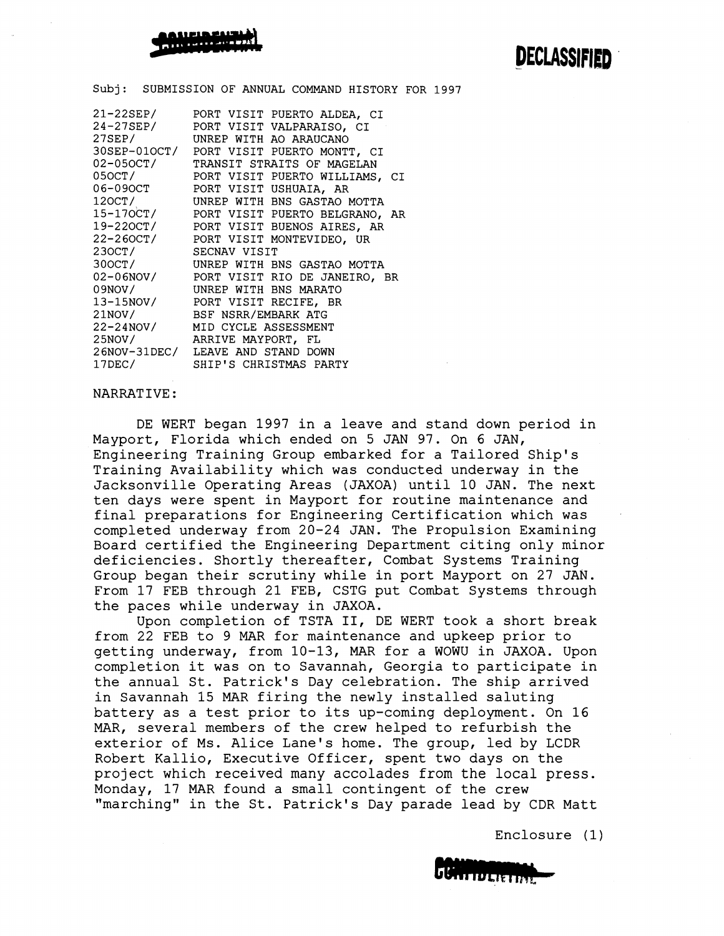

Subj: SUBMISSION OF ANNUAL COMMAND HISTORY FOR 1997

| 21-22SEP/           | PORT VISIT PUERTO ALDEA, CI                                                                                                              |
|---------------------|------------------------------------------------------------------------------------------------------------------------------------------|
|                     | 24-27SEP/ PORT VISIT VALPARAISO, CI                                                                                                      |
| 27SEP/              | UNREP WITH AO ARAUCANO                                                                                                                   |
|                     | 30SEP-01OCT/ PORT VISIT PUERTO MONTT, CI                                                                                                 |
|                     | 02-050CT/ TRANSIT STRAITS OF MAGELAN                                                                                                     |
|                     | 050CT/ PORT VISIT PUERTO WILLIAMS, CI<br>06-090CT PORT VISIT USHUAIA, AR                                                                 |
|                     |                                                                                                                                          |
| 120CT/              | UNREP WITH BNS GASTAO MOTTA                                                                                                              |
|                     | 15-170CT/ PORT VISIT PUERTO BELGRANO, AR                                                                                                 |
|                     | 19-220CT/ PORT VISIT BUENOS AIRES, AR                                                                                                    |
|                     | 22-260CT/ PORT VISIT MONTEVIDEO, UR                                                                                                      |
| 230CT/ SECNAV VISIT |                                                                                                                                          |
| 300CT/              | UNREP WITH BNS GASTAO MOTTA                                                                                                              |
|                     |                                                                                                                                          |
|                     |                                                                                                                                          |
|                     | 02-06NOV/ PORT VISIT RIO DE JANEIRO, BR<br>09NOV/ UNREP WITH BNS MARATO<br>13-15NOV/ PORT VISIT RECIFE, BR<br>21NOV/ BSF NSRR/EMBARK ATG |
|                     |                                                                                                                                          |
|                     | 22-24NOV/ MID CYCLE ASSESSMENT                                                                                                           |
| 25NOV/              | ARRIVE MAYPORT, FL                                                                                                                       |
|                     | 26NOV-31DEC/ LEAVE AND STAND DOWN                                                                                                        |
| 17DEC/              | SHIP'S CHRISTMAS PARTY                                                                                                                   |

### NARRATIVE:

DE WERT began 1997 in a leave and stand down period in Mayport, Florida which ended on 5 JAN 97. On 6 JAN, Engineering Training Group embarked for a Tailored Ship's Training Availability which was conducted underway in the Jacksonville Operating Areas (JAXOA) until 10 JAN. The next ten days were spent in Mayport for routine maintenance and final preparations for Engineering Certification which was completed underway from 20-24 JAN. The Propulsion Examining Board certified the Engineering Department citing only minor deficiencies. Shortly thereafter, Combat Systems Training Group began their scrutiny while in port Mayport on 27 JAN. From 17 FEB through 21 FEB, CSTG put Conbat Systems through the paces while underway in JAXOA.

Upon completion of TSTA 11, DE WERT took a short break from 22 FEB to 9 MAR for maintenance and upkeep prior to getting underway, from 10-13, MAR for a WOWU in JAXOA. Upon completion it was on to Savannah, Georgia to participate in the annual St. Patrick's Day celebration. The ship arrived in Savannah 15 MAR firing the newly installed saluting battery as a test prior to its up-coming deployment. On 16 MAR, several members of the crew helped to refurbish the exterior of Ms. Alice Lane's home. The group, led by LCDR Robert Kallio, Executive Officer, spent two days on the project which received many accolades from the local press. Monday, 17 MAR found a small contingent of the crew "marching" in the St. Patrick's Day parade lead by CDR Matt

Enclosure (1

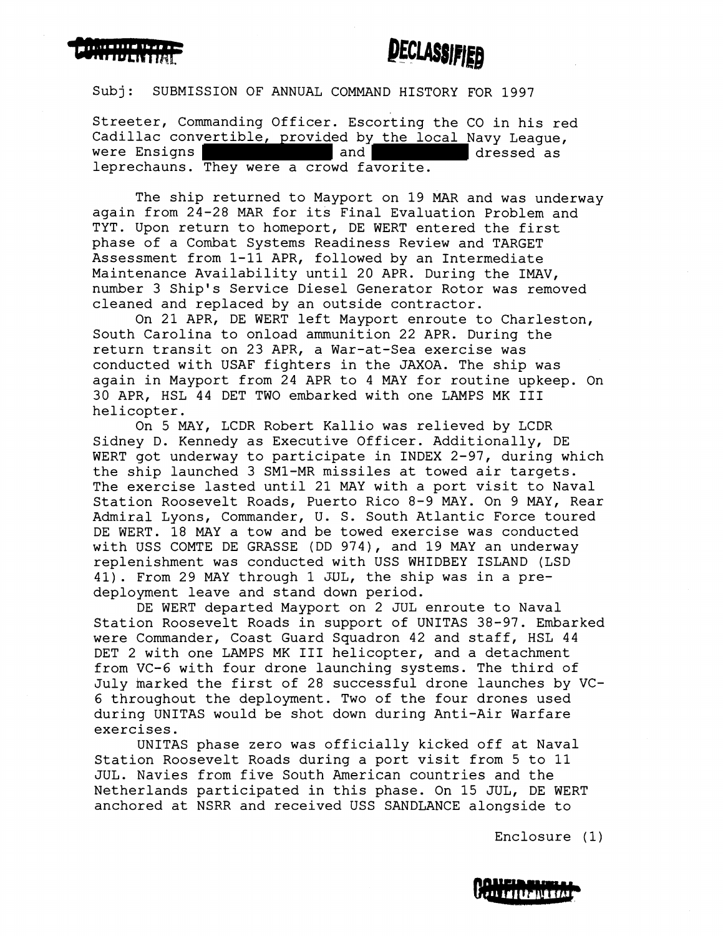

Subj: SUBMISSION OF ANNUAL COMMAND HISTORY FOR 1997

Streeter, Commanding Officer. Escorting the CO in his red Cadillac convertible, provided by the local Navy League, were Ensigns and and dressed as leprechauns. They were a crowd favorite.

The ship returned to Mayport on 19 MAR and was underway again from 24-28 MAR for its Final Evaluation Problem and TYT. Upon return to homeport, DE WERT entered the first phase of a Combat Systems Readiness Review and TARGET Assessment from 1-11 APR, followed by an Intermediate Maintenance Availability until 20 APR. During the IMAV, number 3 Ship's Service Diesel Generator Rotor was removed cleaned and replaced by an outside contractor.

On 21 APR, DE WERT left Mayport enroute to Charleston, South Carolina to onload ammunition 22 APR. During the return transit on 23 APR, a War-at-Sea exercise was conducted with USAF fighters in the JAXOA. The ship was again in Mayport from 24 APR to 4 MAY for routine upkeep. On 30 APR, HSL 44 DET TWO embarked with one LAMPS MK I11 helicopter.

On 5 MAY, LCDR Robert Kallio was relieved by LCDR Sidney D. Kennedy as Executive Officer. Additionally, DE WERT got underway to participate in INDEX 2-97, during which the ship launched 3 SM1-MR missiles at towed air targets. The exercise lasted until 21 MAY with a port visit to Naval Station Roosevelt Roads, Puerto Rico 8-9 MAY. On 9 MAY, Rear Admiral Lyons, Commander, U. S. South Atlantic Force toured DE WERT. 18 MAY a tow and be towed exercise was conducted with USS COMTE DE GRASSE (DD 974), and 19 MAY an underway replenishment was conducted with USS WHIDBEY ISLAND (LSD 41). From 29 MAY through 1 WL, the ship was in a predeployment leave and stand down period.

DE WERT departed Mayport on 2 JUL enroute to Naval Station Roosevelt Roads in support of UNITAS 38-97. Embarked were Commander, Coast Guard Squadron 42 and staff, HSL 44 DET 2 with one LAMPS MK I11 helicopter, and a detachment from VC-6 with four drone launching systems. The third of July harked the first of 28 successful drone launches by VC-6 throughout the deployment. Two of the four drones used during UNITAS would be shot down during Anti-Air Warfare exercises.

UNITAS phase zero was officially kicked off at Naval Station Roosevelt Roads during a port visit from 5 to 11 JUL. Navies from five South American countries and the Netherlands participated in this phase. On 15 JUL, DE WERT anchored at NSRR and received USS SANDLANCE alongside to

Enclosure (1)

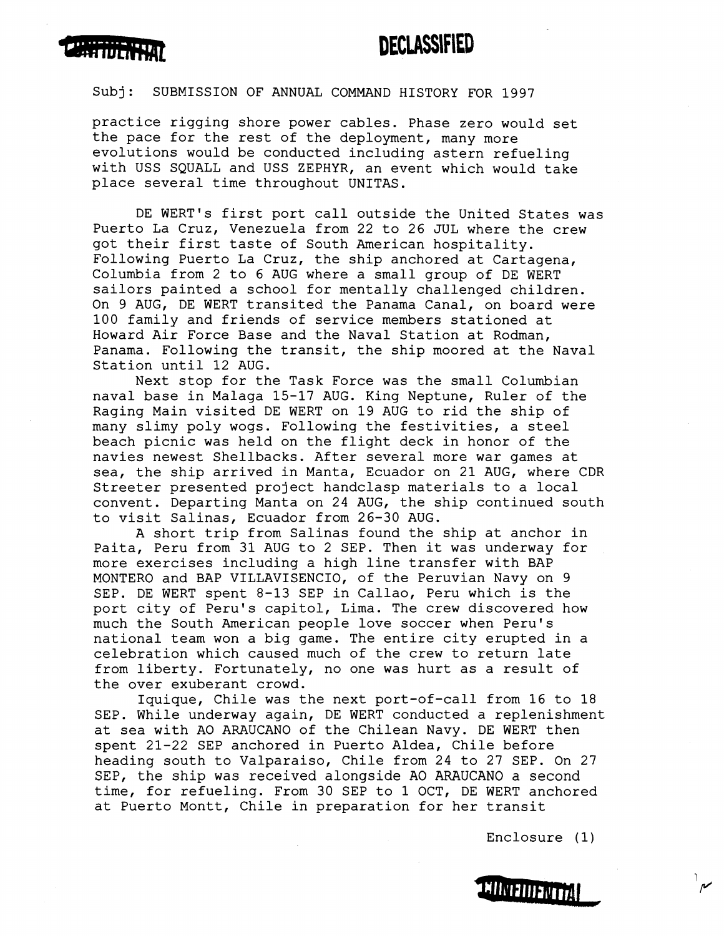

Subj: SUBMISSION OF ANNUAL COMMAND HISTORY FOR 1997

practice rigging shore power cables. Phase zero would set the pace for the rest of the deployment, many more evolutions would be conducted including astern refueling with USS SQUALL and USS ZEPHYR, an event which would take place several time throughout UNITAS.

DE WERT's first port call outside the United States was Puerto La Cruz, Venezuela from 22 to 26 JUL where the crew got their first taste of South American hospitality. Following Puerto La Cruz, the ship anchored at Cartagena, Columbia from 2 to 6 AUG where a small group of DE WERT sailors painted a school for mentally challenged children. On 9 AUG, DE WERT transited the Panama Canal, on board were 100 family and friends of service members stationed at Howard Air Force Base and the Naval Station at Rodman, Panama. Following the transit, the ship moored at the Naval Station until 12 AUG.

Next stop for the Task Force was the small Columbian naval base in Malaga 15-17 AUG. King Neptune, Ruler of the Raging Main visited DE WERT on 19 AUG to rid the ship of many slimy poly wogs. Following the festivities, a steel beach picnic was held on the flight deck in honor of the navies newest Shellbacks. After several more war games at sea, the ship arrived in Manta, Ecuador on 21 AUG, where CDR Streeter presented project handclasp materials to a local convent. Departing Manta on 24 AUG, the ship continued south to visit Salinas, Ecuador from 26-30 AUG.

A short trip from Salinas found the ship at anchor in Paita, Peru from 31 AUG to 2 SEP. Then it was underway for more exercises including a high line transfer with BAP MONTERO and BAP VILLAVISENCIO, of the Peruvian Navy on 9 SEP. DE WERT spent 8-13 SEP in Callao, Peru which is the port city of Peru's capitol, Lima. The crew discovered how much the South American people love soccer when Peru's national team won a big game. The entire city erupted in a celebration which caused much of the crew to return late from liberty. Fortunately, no one was hurt as a result of the over exuberant crowd.

Iquique, Chile was the next port-of-call from 16 to 18 SEP. While underway again, DE WERT conducted a replenishment at sea with A0 ARAUCANO of the Chilean Navy. DE WERT then spent 21-22 SEP anchored in Puerto Aldea, Chile before heading south to Valparaiso, Chile from 24 to 27 SEP. On 27 SEP, the ship was received alongside A0 ARAUCANO a second time, for refueling. From 30 SEP to 1 OCT, DE WERT anchored at Puerto Montt, Chile in preparation for her transit

Enclosure (1)

 $\frac{1}{\rho}$